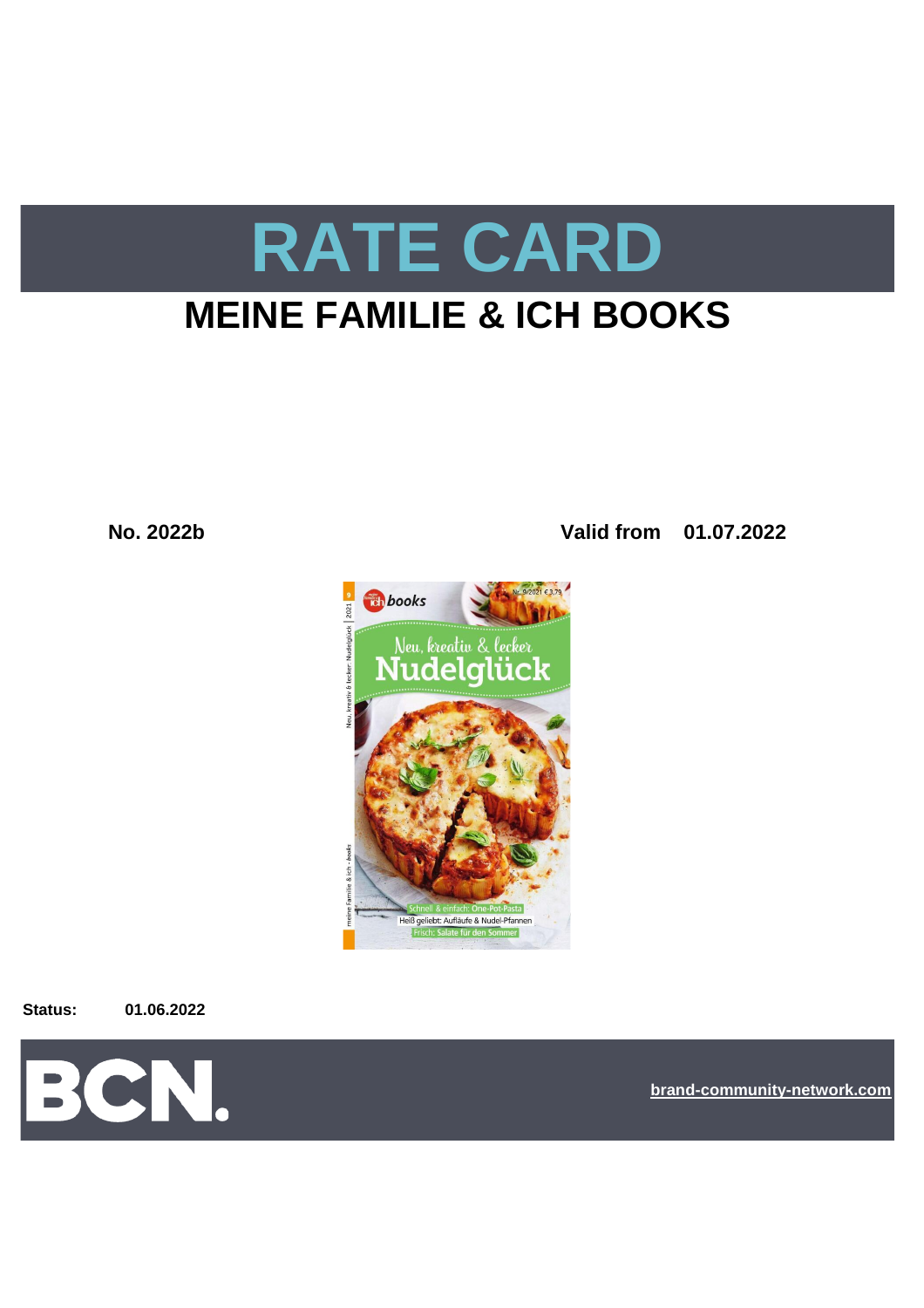# **RATE CARD**

# **MEINE FAMILIE & ICH BOOKS**

**No. 2022b Valid from 01.07.2022**



**Status: 01.06.2022**



**[bra](https://bcn.burda.com/)nd-community-network.com**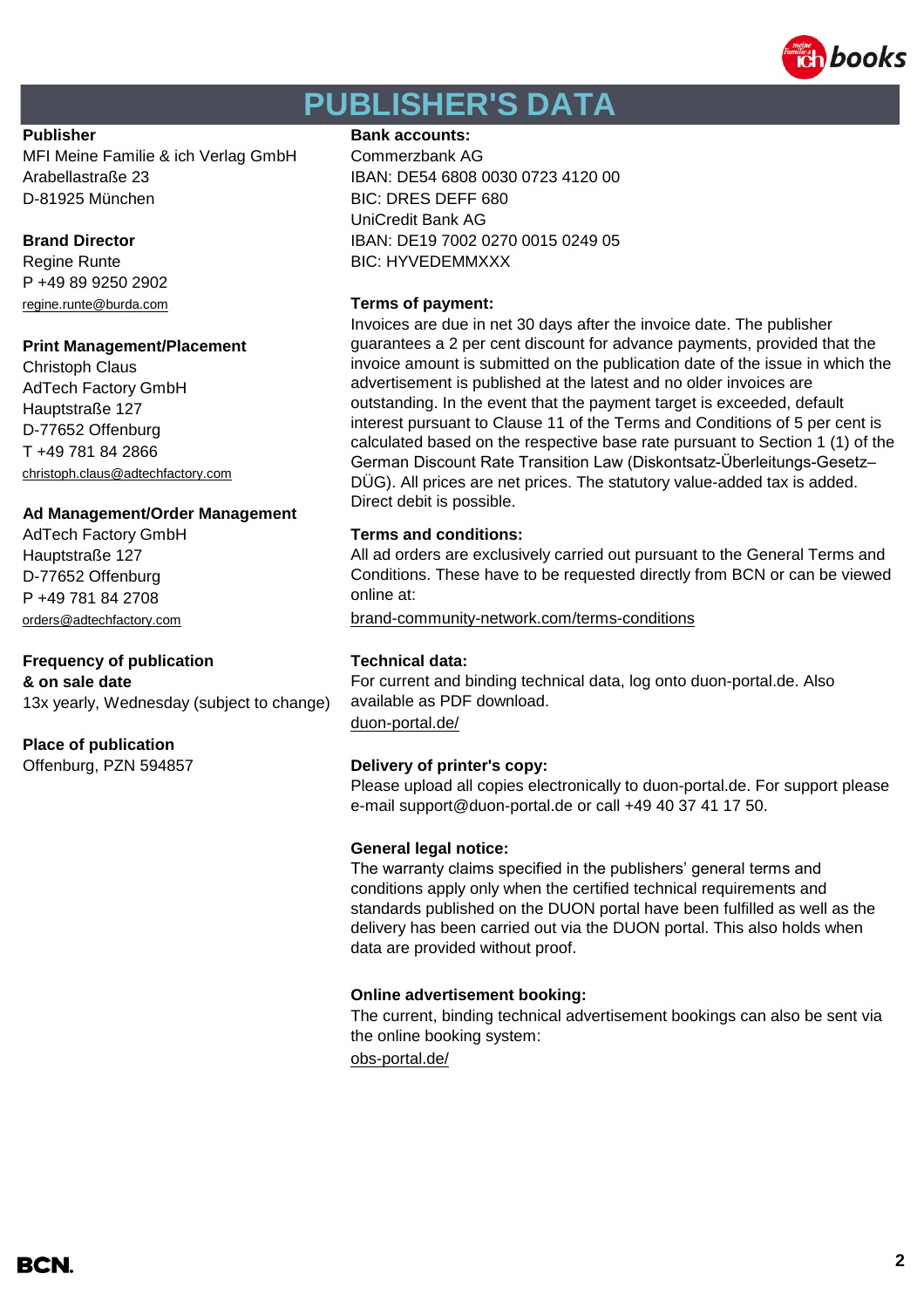

# **PUBLISHER'S DATA**

MFI Meine Familie & ich Verlag GmbH Commerzbank AG Arabellastraße 23 IBAN: DE54 6808 0030 0723 4120 00 D-81925 München BIC: DRES DEFF 680

P +49 89 9250 2902 [regine.runte@burda.com](mailto:regine.runte@burda.com) **Terms of payment:**

#### **Print Management/Placement**

Christoph Claus AdTech Factory GmbH Hauptstraße 127 D-77652 Offenburg T +49 781 84 2866 [christoph.claus@adtechfactory.com](mailto:christoph.claus@adtechfactory.com)

#### **Ad Management/Order Management**

AdTech Factory GmbH **Terms and conditions:** Hauptstraße 127 D-77652 Offenburg P +49 781 84 2708

#### **Frequency of publication Technical data: & on sale date**

13x yearly, Wednesday (subject to change)

#### **Place of publication**

Offenburg, PZN 594857 **Delivery of printer's copy:**

## **Publisher Bank accounts: Bank accounts:**

UniCredit Bank AG **Brand Director IBAN: DE19 7002 0270 0015 0249 05** Regine Runte **BIC: HYVEDEMMXXX** 

Invoices are due in net 30 days after the invoice date. The publisher guarantees a 2 per cent discount for advance payments, provided that the invoice amount is submitted on the publication date of the issue in which the advertisement is published at the latest and no older invoices are outstanding. In the event that the payment target is exceeded, default interest pursuant to Clause 11 of the Terms and Conditions of 5 per cent is calculated based on the respective base rate pursuant to Section 1 (1) of the German Discount Rate Transition Law (Diskontsatz-Überleitungs-Gesetz– DÜG). All prices are net prices. The statutory value-added tax is added. Direct debit is possible.

All ad orders are exclusively carried out pursuant to the General Terms and Conditions. These have to be requested directly from BCN or can be viewed online at:

[orders@adtechfactory.com](mailto:orders@adtechfactory.com) [brand-community-network.com/terms-conditions](https://bcn.burda.com/terms-conditions)

[duon-portal.de/](https://duon-portal.de/) For current and binding technical data, log onto duon-portal.de. Also available as PDF download.

Please upload all copies electronically to duon-portal.de. For support please e-mail support@duon-portal.de or call +49 40 37 41 17 50.

#### **General legal notice:**

The warranty claims specified in the publishers' general terms and conditions apply only when the certified technical requirements and standards published on the DUON portal have been fulfilled as well as the delivery has been carried out via the DUON portal. This also holds when data are provided without proof.

#### **Online advertisement booking:**

[obs-portal.de/](https://www.obs-portal.de/) The current, binding technical advertisement bookings can also be sent via the online booking system: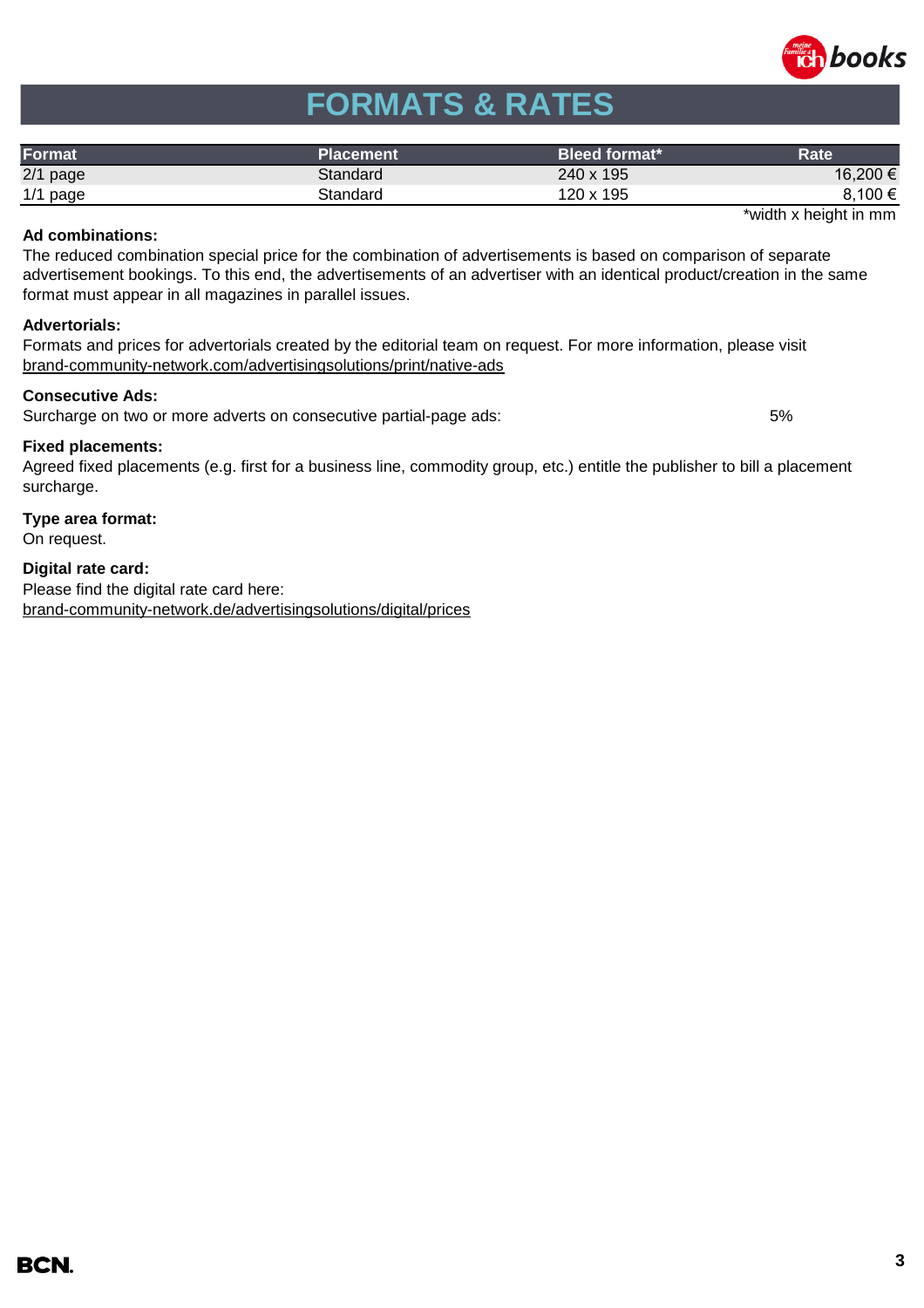

# **FORMATS & RATES**

| Format     | Placement | Bleed format* | Rate     |
|------------|-----------|---------------|----------|
| $2/1$ page | Standard  | 240 x 195     | 16,200 € |
| $1/1$ page | Standard  | 120 x 195     | 8,100 €  |

\*width x height in mm

#### **Ad combinations:**

The reduced combination special price for the combination of advertisements is based on comparison of separate advertisement bookings. To this end, the advertisements of an advertiser with an identical product/creation in the same format must appear in all magazines in parallel issues.

#### **Advertorials:**

[brand-community-network.com/advertisin](https://bcn.burda.com/advertisingsolutions/print/native-ads)gsolutions/print/native-ads Formats and prices for advertorials created by the editorial team on request. For more information, please visit

### **Consecutive Ads:**

Surcharge on two or more adverts on consecutive partial-page ads: 5%

#### **Fixed placements:**

Agreed fixed placements (e.g. first for a business line, commodity group, etc.) entitle the publisher to bill a placement surcharge.

## **Type area format:**

On request.

### **Digital rate card:**

Please find the digital rate card here: [brand-community-network.de/advertisingsolutions/digital/prices](https://bcn.burda.com/advertisingsolutions/digital/prices)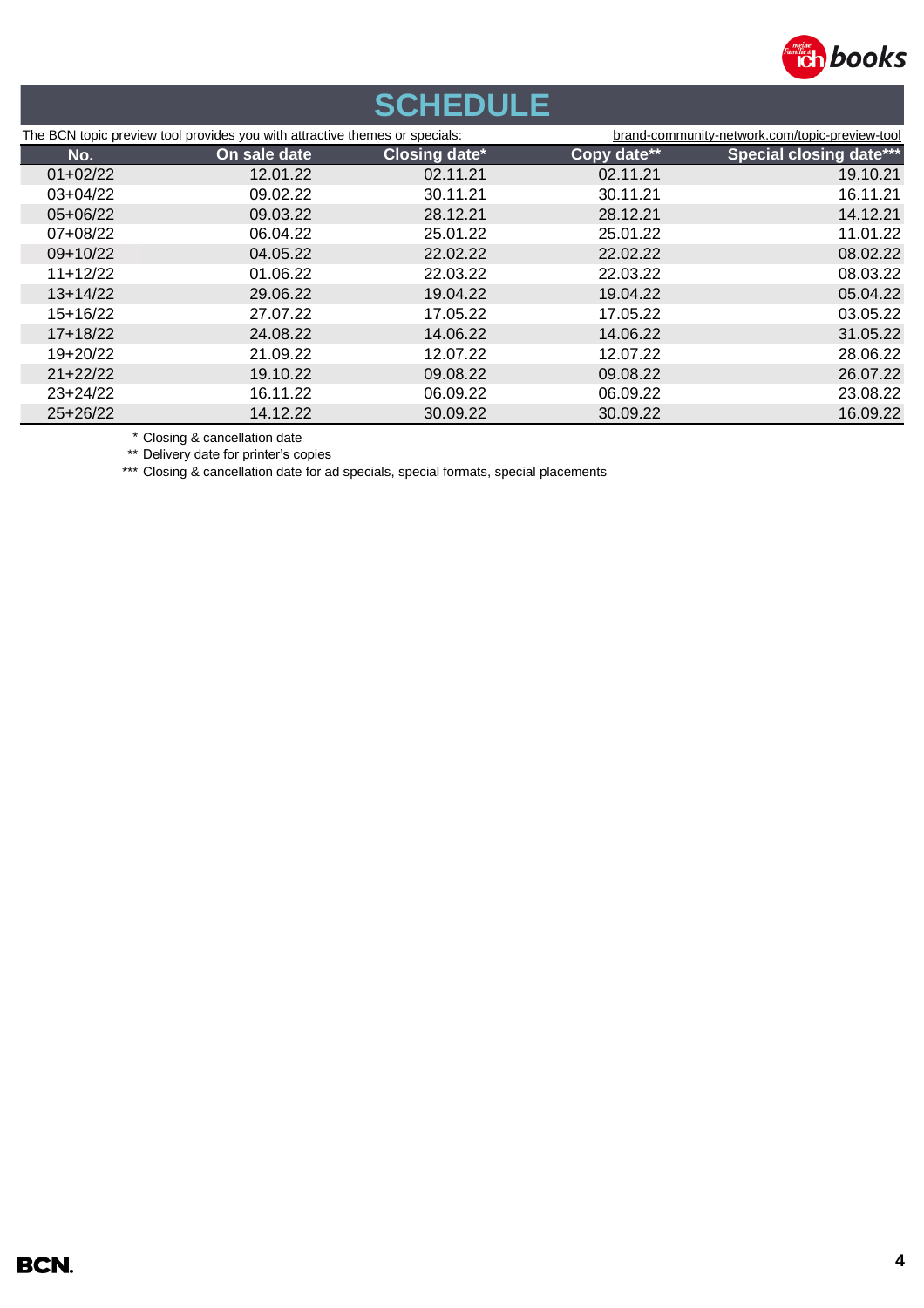

# **SCHEDULE**

| The BCN topic preview tool provides you with attractive themes or specials: |              |                      | brand-community-network.com/topic-preview-tool |                                |
|-----------------------------------------------------------------------------|--------------|----------------------|------------------------------------------------|--------------------------------|
| No.                                                                         | On sale date | <b>Closing date*</b> | Copy date**                                    | <b>Special closing date***</b> |
| $01+02/22$                                                                  | 12.01.22     | 02.11.21             | 02.11.21                                       | 19.10.21                       |
| $03+04/22$                                                                  | 09.02.22     | 30.11.21             | 30.11.21                                       | 16.11.21                       |
| 05+06/22                                                                    | 09.03.22     | 28.12.21             | 28.12.21                                       | 14.12.21                       |
| 07+08/22                                                                    | 06.04.22     | 25.01.22             | 25.01.22                                       | 11.01.22                       |
| $09+10/22$                                                                  | 04.05.22     | 22.02.22             | 22.02.22                                       | 08.02.22                       |
| $11+12/22$                                                                  | 01.06.22     | 22.03.22             | 22.03.22                                       | 08.03.22                       |
| $13+14/22$                                                                  | 29.06.22     | 19.04.22             | 19.04.22                                       | 05.04.22                       |
| $15+16/22$                                                                  | 27.07.22     | 17.05.22             | 17.05.22                                       | 03.05.22                       |
| $17 + 18/22$                                                                | 24.08.22     | 14.06.22             | 14.06.22                                       | 31.05.22                       |
| 19+20/22                                                                    | 21.09.22     | 12.07.22             | 12.07.22                                       | 28.06.22                       |
| $21+22/22$                                                                  | 19.10.22     | 09.08.22             | 09.08.22                                       | 26.07.22                       |
| $23 + 24/22$                                                                | 16.11.22     | 06.09.22             | 06.09.22                                       | 23.08.22                       |
| $25+26/22$                                                                  | 14.12.22     | 30.09.22             | 30.09.22                                       | 16.09.22                       |

\* Closing & cancellation date

\*\* Delivery date for printer's copies

\*\*\* Closing & cancellation date for ad specials, special formats, special placements